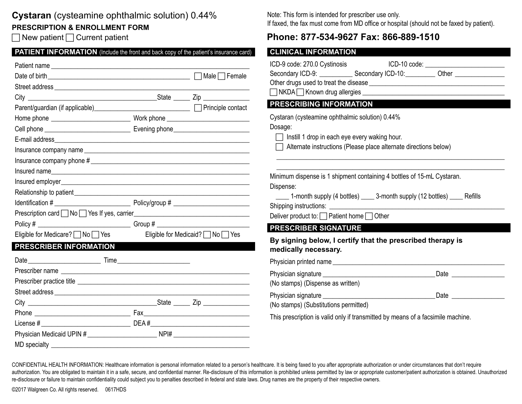## **Cystaran** (cysteamine ophthalmic solution) 0.44%

### **PRESCRIPTION & ENROLLMENT FORM**

 $\Box$  New patient  $\Box$  Current patient

| <b>PATIENT INFORMATION</b> (Include the front and back copy of the patient's insurance card) |
|----------------------------------------------------------------------------------------------|
|                                                                                              |

|                                             |                               | ICD-9 code: 2                        |
|---------------------------------------------|-------------------------------|--------------------------------------|
|                                             |                               | Secondary IC                         |
|                                             |                               | Other drugs u                        |
|                                             |                               | $\overline{\phantom{a}}$ NKDA $\Box$ |
|                                             |                               | <b>PRESCRIE</b>                      |
|                                             |                               | Cystaran (cys                        |
|                                             |                               | Dosage:                              |
|                                             |                               | $\Box$ Instill 1                     |
|                                             |                               | Alterna                              |
|                                             |                               |                                      |
|                                             |                               | Minimum disp                         |
|                                             |                               | Dispense:                            |
|                                             |                               | 1-moi                                |
|                                             |                               | Shipping instr                       |
|                                             |                               | Deliver produ                        |
|                                             |                               | <b>PRESCRIE</b>                      |
| Eligible for Medicare? $\Box$ No $\Box$ Yes | Eligible for Medicaid? No Ses | By signing                           |
| PRESCRIBER INFORMATION                      |                               | medically                            |
|                                             |                               | Physician prir                       |
|                                             |                               | Physician sig                        |
|                                             |                               | (No stamps)                          |
|                                             |                               | Physician sig                        |
|                                             |                               | (No stamps)                          |
|                                             |                               | This prescript                       |
|                                             |                               |                                      |
|                                             |                               |                                      |
|                                             |                               |                                      |

Note: This form is intended for prescriber use only. If faxed, the fax must come from MD office or hospital (should not be faxed by patient).

## **Phone: 877-534-9627 Fax: 866-889-1510**

#### **CLINICAL INFORMATION**

| ICD-9 code: 270.0 Cystinosis<br>Secondary ICD-9: _____________ Secondary ICD-10: __________ Other ______________                                                                                                                | ICD-10 code: _____________________________ |  |  |  |
|---------------------------------------------------------------------------------------------------------------------------------------------------------------------------------------------------------------------------------|--------------------------------------------|--|--|--|
| PRESCRIBING INFORMATION<br>Cystaran (cysteamine ophthalmic solution) 0.44%<br>Dosage:<br>$\Box$ Instill 1 drop in each eye every waking hour.<br>Alternate instructions (Please place alternate directions below)               |                                            |  |  |  |
| Minimum dispense is 1 shipment containing 4 bottles of 15-mL Cystaran.<br>Dispense:<br>_____ 1-month supply (4 bottles) _____ 3-month supply (12 bottles) _____ Refills<br>Deliver product to: $\Box$ Patient home $\Box$ Other |                                            |  |  |  |
| <b>PRESCRIBER SIGNATURE</b><br>By signing below, I certify that the prescribed therapy is                                                                                                                                       |                                            |  |  |  |
| medically necessary.                                                                                                                                                                                                            |                                            |  |  |  |
|                                                                                                                                                                                                                                 |                                            |  |  |  |
| (No stamps) (Dispense as written)                                                                                                                                                                                               | Date ____________________                  |  |  |  |
| (No stamps) (Substitutions permitted)                                                                                                                                                                                           |                                            |  |  |  |

tion is valid only if transmitted by means of a facsimile machine.

CONFIDENTIAL HEALTH INFORMATION: Healthcare information is personal information related to a person's healthcare. It is being faxed to you after appropriate authorization or under circumstances that don't require authorization. You are obligated to maintain it in a safe, secure, and confidential manner. Re-disclosure of this information is prohibited unless permitted by law or appropriate customer/patient authorization is obtained. re-disclosure or failure to maintain confidentiality could subject you to penalties described in federal and state laws. Drug names are the property of their respective owners.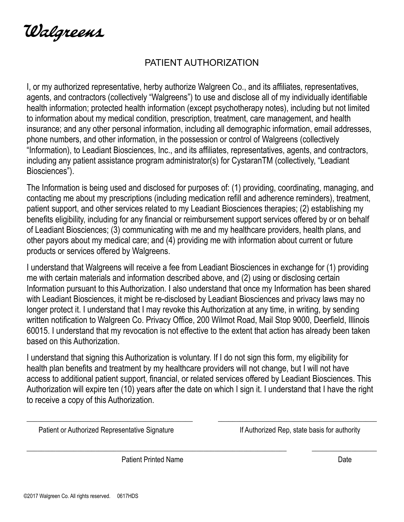Walgreens

# PATIENT AUTHORIZATION

I, or my authorized representative, herby authorize Walgreen Co., and its affiliates, representatives, agents, and contractors (collectively "Walgreens") to use and disclose all of my individually identifiable health information; protected health information (except psychotherapy notes), including but not limited to information about my medical condition, prescription, treatment, care management, and health insurance; and any other personal information, including all demographic information, email addresses, phone numbers, and other information, in the possession or control of Walgreens (collectively "Information), to Leadiant Biosciences, Inc., and its affiliates, representatives, agents, and contractors, including any patient assistance program administrator(s) for CystaranTM (collectively, "Leadiant Biosciences").

The Information is being used and disclosed for purposes of: (1) providing, coordinating, managing, and contacting me about my prescriptions (including medication refill and adherence reminders), treatment, patient support, and other services related to my Leadiant Biosciences therapies; (2) establishing my benefits eligibility, including for any financial or reimbursement support services offered by or on behalf of Leadiant Biosciences; (3) communicating with me and my healthcare providers, health plans, and other payors about my medical care; and (4) providing me with information about current or future products or services offered by Walgreens.

I understand that Walgreens will receive a fee from Leadiant Biosciences in exchange for (1) providing me with certain materials and information described above, and (2) using or disclosing certain Information pursuant to this Authorization. I also understand that once my Information has been shared with Leadiant Biosciences, it might be re-disclosed by Leadiant Biosciences and privacy laws may no longer protect it. I understand that I may revoke this Authorization at any time, in writing, by sending written notification to Walgreen Co. Privacy Office, 200 Wilmot Road, Mail Stop 9000, Deerfield, Illinois 60015. I understand that my revocation is not effective to the extent that action has already been taken based on this Authorization.

I understand that signing this Authorization is voluntary. If I do not sign this form, my eligibility for health plan benefits and treatment by my healthcare providers will not change, but I will not have access to additional patient support, financial, or related services offered by Leadiant Biosciences. This Authorization will expire ten (10) years after the date on which I sign it. I understand that I have the right to receive a copy of this Authorization.

\_\_\_\_\_\_\_\_\_\_\_\_\_\_\_\_\_\_\_\_\_\_\_\_\_\_\_\_\_\_\_\_\_\_\_\_\_\_\_\_\_\_\_\_\_\_ \_\_\_\_\_\_\_\_\_\_\_\_\_\_\_\_\_\_\_\_\_\_\_\_\_\_\_\_\_\_\_\_\_\_\_\_\_\_\_\_\_\_\_\_

\_\_\_\_\_\_\_\_\_\_\_\_\_\_\_\_\_\_\_\_\_\_\_\_\_\_\_\_\_\_\_\_\_\_\_\_\_\_\_\_\_\_\_\_\_\_\_\_\_\_\_\_\_\_\_\_\_\_\_\_\_\_\_\_\_\_\_\_\_\_\_\_ \_\_\_\_\_\_\_\_\_\_\_\_\_\_\_\_\_\_

Patient or Authorized Representative Signature Internal Superintent Mathorized Rep, state basis for authority

Patient Printed Name **Date** Date of **Prince Islams** Date Date